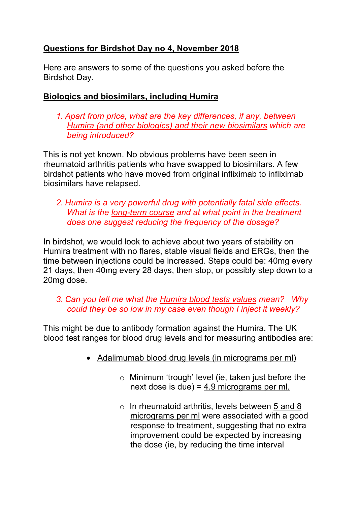# **Questions for Birdshot Day no 4, November 2018**

Here are answers to some of the questions you asked before the Birdshot Day.

### **Biologics and biosimilars, including Humira**

*1. Apart from price, what are the key differences, if any, between Humira (and other biologics) and their new biosimilars which are being introduced?*

This is not yet known. No obvious problems have been seen in rheumatoid arthritis patients who have swapped to biosimilars. A few birdshot patients who have moved from original infliximab to infliximab biosimilars have relapsed.

#### *2. Humira is a very powerful drug with potentially fatal side effects. What is the long-term course and at what point in the treatment does one suggest reducing the frequency of the dosage?*

In birdshot, we would look to achieve about two years of stability on Humira treatment with no flares, stable visual fields and ERGs, then the time between injections could be increased. Steps could be: 40mg every 21 days, then 40mg every 28 days, then stop, or possibly step down to a 20mg dose.

### *3. Can you tell me what the Humira blood tests values mean? Why could they be so low in my case even though I inject it weekly?*

This might be due to antibody formation against the Humira. The UK blood test ranges for blood drug levels and for measuring antibodies are:

- Adalimumab blood drug levels (in micrograms per ml)
	- $\circ$  Minimum 'trough' level (ie, taken just before the next dose is due) =  $4.9$  micrograms per ml.
	- $\circ$  In rheumatoid arthritis, levels between 5 and 8 micrograms per ml were associated with a good response to treatment, suggesting that no extra improvement could be expected by increasing the dose (ie, by reducing the time interval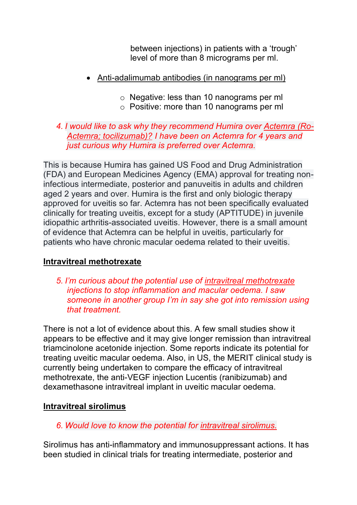between injections) in patients with a 'trough' level of more than 8 micrograms per ml.

- Anti-adalimumab antibodies (in nanograms per ml)
	- o Negative: less than 10 nanograms per ml
	- o Positive: more than 10 nanograms per ml

### *4. I would like to ask why they recommend Humira over Actemra (Ro-Actemra; tocilizumab)? I have been on Actemra for 4 years and just curious why Humira is preferred over Actemra.*

This is because Humira has gained US Food and Drug Administration (FDA) and European Medicines Agency (EMA) approval for treating noninfectious intermediate, posterior and panuveitis in adults and children aged 2 years and over. Humira is the first and only biologic therapy approved for uveitis so far. Actemra has not been specifically evaluated clinically for treating uveitis, except for a study (APTITUDE) in juvenile idiopathic arthritis-associated uveitis. However, there is a small amount of evidence that Actemra can be helpful in uveitis, particularly for patients who have chronic macular oedema related to their uveitis.

# **Intravitreal methotrexate**

*5. I'm curious about the potential use of intravitreal methotrexate injections to stop inflammation and macular oedema. I saw someone in another group I'm in say she got into remission using that treatment.*

There is not a lot of evidence about this. A few small studies show it appears to be effective and it may give longer remission than intravitreal triamcinolone acetonide injection. Some reports indicate its potential for treating uveitic macular oedema. Also, in US, the MERIT clinical study is currently being undertaken to compare the efficacy of intravitreal methotrexate, the anti-VEGF injection Lucentis (ranibizumab) and dexamethasone intravitreal implant in uveitic macular oedema.

# **Intravitreal sirolimus**

# *6. Would love to know the potential for intravitreal sirolimus.*

Sirolimus has anti-inflammatory and immunosuppressant actions. It has been studied in clinical trials for treating intermediate, posterior and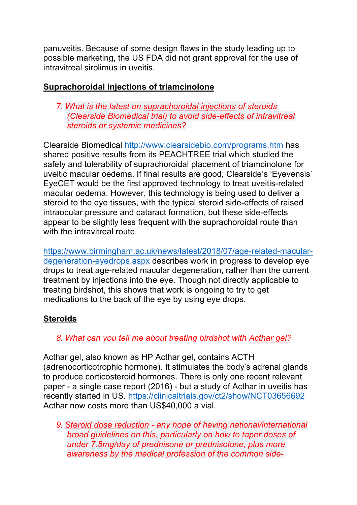panuveitis. Because of some design flaws in the study leading up to possible marketing, the US FDA did not grant approval for the use of intravitreal sirolimus in uveitis.

### **Suprachoroidal injections of triamcinolone**

*7. What is the latest on suprachoroidal injections of steroids (Clearside Biomedical trial) to avoid side-effects of intravitreal steroids or systemic medicines?*

Clearside Biomedical http://www.clearsidebio.com/programs.htm has shared positive results from its PEACHTREE trial which studied the safety and tolerability of suprachoroidal placement of triamcinolone for uveitic macular oedema. If final results are good, Clearside's 'Eyevensis' EyeCET would be the first approved technology to treat uveitis-related macular oedema. However, this technology is being used to deliver a steroid to the eye tissues, with the typical steroid side-effects of raised intraocular pressure and cataract formation, but these side-effects appear to be slightly less frequent with the suprachoroidal route than with the intravitreal route.

https://www.birmingham.ac.uk/news/latest/2018/07/age-related-maculardegeneration-eyedrops.aspx describes work in progress to develop eye drops to treat age-related macular degeneration, rather than the current treatment by injections into the eye. Though not directly applicable to treating birdshot, this shows that work is ongoing to try to get medications to the back of the eye by using eye drops.

# **Steroids**

# *8. What can you tell me about treating birdshot with Acthar gel?*

Acthar gel, also known as HP Acthar gel, contains ACTH (adrenocorticotrophic hormone). It stimulates the body's adrenal glands to produce corticosteroid hormones. There is only one recent relevant paper - a single case report (2016) - but a study of Acthar in uveitis has recently started in US. https://clinicaltrials.gov/ct2/show/NCT03656692 Acthar now costs more than US\$40,000 a vial.

*9. Steroid dose reduction - any hope of having national/international broad guidelines on this, particularly on how to taper doses of under 7.5mg/day of prednisone or prednisolone, plus more awareness by the medical profession of the common side-*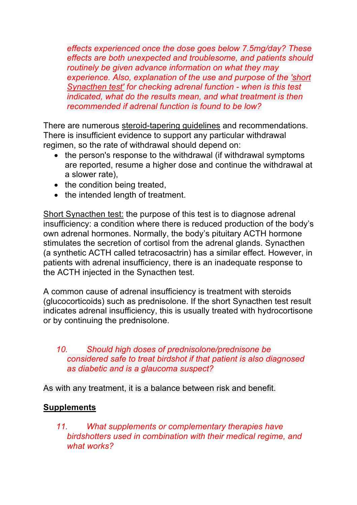*effects experienced once the dose goes below 7.5mg/day? These effects are both unexpected and troublesome, and patients should routinely be given advance information on what they may experience. Also, explanation of the use and purpose of the 'short Synacthen test' for checking adrenal function - when is this test indicated, what do the results mean, and what treatment is then recommended if adrenal function is found to be low?*

There are numerous steroid-tapering guidelines and recommendations. There is insufficient evidence to support any particular withdrawal regimen, so the rate of withdrawal should depend on:

- the person's response to the withdrawal (if withdrawal symptoms are reported, resume a higher dose and continue the withdrawal at a slower rate),
- the condition being treated,
- the intended length of treatment.

Short Synacthen test: the purpose of this test is to diagnose adrenal insufficiency: a condition where there is reduced production of the body's own adrenal hormones. Normally, the body's pituitary ACTH hormone stimulates the secretion of cortisol from the adrenal glands. Synacthen (a synthetic ACTH called tetracosactrin) has a similar effect. However, in patients with adrenal insufficiency, there is an inadequate response to the ACTH injected in the Synacthen test.

A common cause of adrenal insufficiency is treatment with steroids (glucocorticoids) such as prednisolone. If the short Synacthen test result indicates adrenal insufficiency, this is usually treated with hydrocortisone or by continuing the prednisolone.

#### *10. Should high doses of prednisolone/prednisone be considered safe to treat birdshot if that patient is also diagnosed as diabetic and is a glaucoma suspect?*

As with any treatment, it is a balance between risk and benefit.

#### **Supplements**

*11. What supplements or complementary therapies have birdshotters used in combination with their medical regime, and what works?*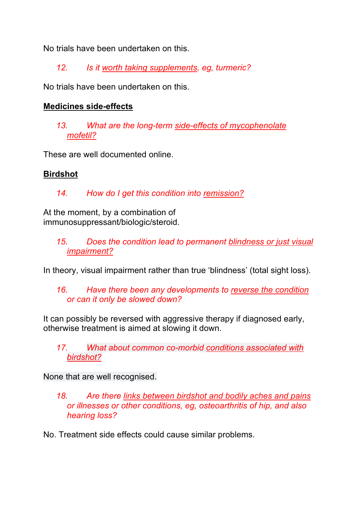No trials have been undertaken on this.

*12. Is it worth taking supplements, eg, turmeric?* 

No trials have been undertaken on this.

#### **Medicines side-effects**

*13. What are the long-term side-effects of mycophenolate mofetil?*

These are well documented online.

# **Birdshot**

*14. How do I get this condition into remission?*

At the moment, by a combination of immunosuppressant/biologic/steroid.

> *15. Does the condition lead to permanent blindness or just visual impairment?*

In theory, visual impairment rather than true 'blindness' (total sight loss).

### *16. Have there been any developments to reverse the condition or can it only be slowed down?*

It can possibly be reversed with aggressive therapy if diagnosed early, otherwise treatment is aimed at slowing it down.

*17. What about common co-morbid conditions associated with birdshot?*

None that are well recognised.

- *18. Are there links between birdshot and bodily aches and pains or illnesses or other conditions, eg, osteoarthritis of hip, and also hearing loss?*
- No. Treatment side effects could cause similar problems.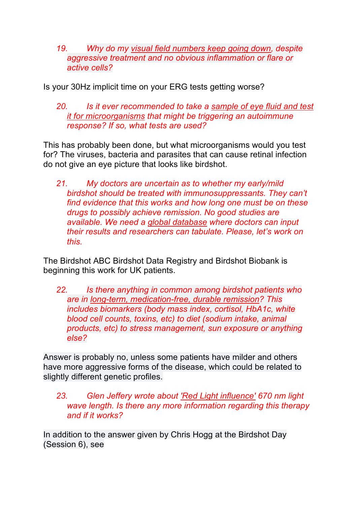*19. Why do my visual field numbers keep going down, despite aggressive treatment and no obvious inflammation or flare or active cells?*

Is your 30Hz implicit time on your ERG tests getting worse?

*20. Is it ever recommended to take a sample of eye fluid and test it for microorganisms that might be triggering an autoimmune response? If so, what tests are used?*

This has probably been done, but what microorganisms would you test for? The viruses, bacteria and parasites that can cause retinal infection do not give an eye picture that looks like birdshot.

*21. My doctors are uncertain as to whether my early/mild birdshot should be treated with immunosuppressants. They can't find evidence that this works and how long one must be on these drugs to possibly achieve remission. No good studies are available. We need a global database where doctors can input their results and researchers can tabulate. Please, let's work on this.*

The Birdshot ABC Birdshot Data Registry and Birdshot Biobank is beginning this work for UK patients.

*22. Is there anything in common among birdshot patients who are in long-term, medication-free, durable remission? This includes biomarkers (body mass index, cortisol, HbA1c, white blood cell counts, toxins, etc) to diet (sodium intake, animal products, etc) to stress management, sun exposure or anything else?*

Answer is probably no, unless some patients have milder and others have more aggressive forms of the disease, which could be related to slightly different genetic profiles.

*23. Glen Jeffery wrote about 'Red Light influence' 670 nm light wave length. Is there any more information regarding this therapy and if it works?*

In addition to the answer given by Chris Hogg at the Birdshot Day (Session 6), see